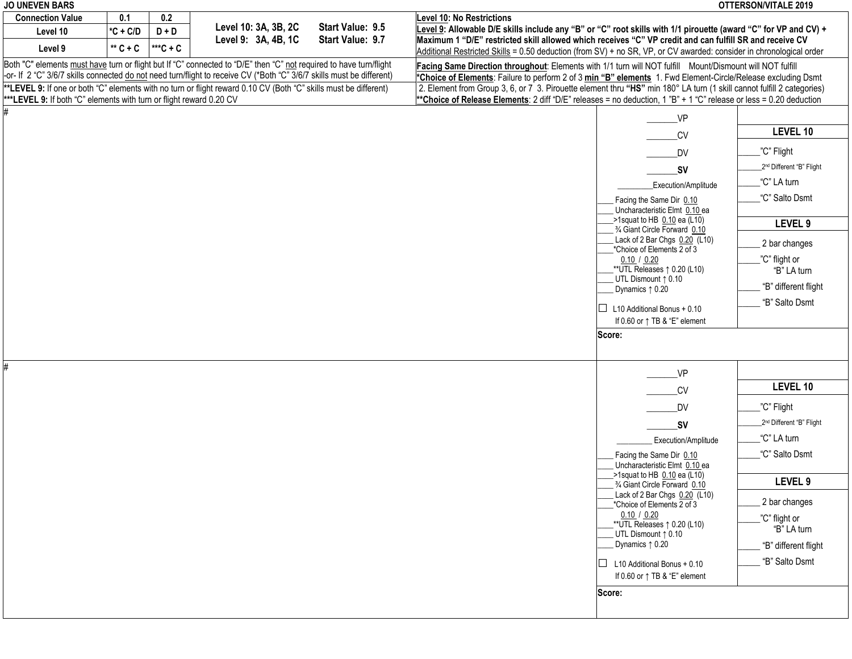| <b>JO UNEVEN BARS</b>                                                                                            |            |          |                                                                                                                       |                  |                                                                                                                        |                                                                 | <b>OTTERSON/VITALE 2019</b>          |  |
|------------------------------------------------------------------------------------------------------------------|------------|----------|-----------------------------------------------------------------------------------------------------------------------|------------------|------------------------------------------------------------------------------------------------------------------------|-----------------------------------------------------------------|--------------------------------------|--|
| <b>Connection Value</b>                                                                                          | 0.1        | 0.2      |                                                                                                                       |                  | <b>Level 10: No Restrictions</b>                                                                                       |                                                                 |                                      |  |
| Level 10                                                                                                         | $*C + C/D$ | $D + D$  | Level 10: 3A, 3B, 2C                                                                                                  | Start Value: 9.5 | Level 9: Allowable D/E skills include any "B" or "C" root skills with 1/1 pirouette (award "C" for VP and CV) +        |                                                                 |                                      |  |
| Level 9                                                                                                          | $**$ C + C | $***C+C$ | Level 9: 3A, 4B, 1C                                                                                                   | Start Value: 9.7 | Maximum 1 "D/E" restricted skill allowed which receives "C" VP credit and can fulfill SR and receive CV                |                                                                 |                                      |  |
|                                                                                                                  |            |          |                                                                                                                       |                  | Additional Restricted Skills = 0.50 deduction (from SV) + no SR, VP, or CV awarded: consider in chronological order    |                                                                 |                                      |  |
|                                                                                                                  |            |          | Both "C" elements must have turn or flight but If "C" connected to "D/E" then "C" not required to have turn/flight    |                  | Facing Same Direction throughout: Elements with 1/1 turn will NOT fulfill Mount/Dismount will NOT fulfill              |                                                                 |                                      |  |
|                                                                                                                  |            |          | -or- If 2 "C" 3/6/7 skills connected do not need turn/flight to receive CV (*Both "C" 3/6/7 skills must be different) |                  | *Choice of Elements: Failure to perform 2 of 3 min "B" elements 1. Fwd Element-Circle/Release excluding Dsmt           |                                                                 |                                      |  |
| **LEVEL 9: If one or both "C" elements with no turn or flight reward 0.10 CV (Both "C" skills must be different) |            |          |                                                                                                                       |                  | 2. Element from Group 3, 6, or 7 3. Pirouette element thru "HS" min 180° LA turn (1 skill cannot fulfill 2 categories) |                                                                 |                                      |  |
| ***LEVEL 9: If both "C" elements with turn or flight reward 0.20 CV                                              |            |          |                                                                                                                       |                  | **Choice of Release Elements: 2 diff "D/E" releases = no deduction, 1 "B" + 1 "C" release or less = 0.20 deduction     |                                                                 |                                      |  |
|                                                                                                                  |            |          |                                                                                                                       |                  |                                                                                                                        | $V$ P                                                           |                                      |  |
|                                                                                                                  |            |          |                                                                                                                       |                  |                                                                                                                        | C <sub>V</sub>                                                  | <b>LEVEL 10</b>                      |  |
|                                                                                                                  |            |          |                                                                                                                       |                  |                                                                                                                        | <b>DV</b>                                                       | "C" Flight                           |  |
|                                                                                                                  |            |          |                                                                                                                       |                  |                                                                                                                        | <b>SV</b>                                                       | 2 <sup>nd</sup> Different "B" Flight |  |
|                                                                                                                  |            |          |                                                                                                                       |                  |                                                                                                                        | Execution/Amplitude                                             | "C" LA turn                          |  |
|                                                                                                                  |            |          |                                                                                                                       |                  |                                                                                                                        | Facing the Same Dir 0.10<br>Uncharacteristic Elmt 0.10 ea       | "C" Salto Dsmt                       |  |
|                                                                                                                  |            |          |                                                                                                                       |                  |                                                                                                                        | ->1squat to HB 0.10 ea (L10)                                    | LEVEL 9                              |  |
|                                                                                                                  |            |          |                                                                                                                       |                  |                                                                                                                        | 3/4 Giant Circle Forward 0.10                                   |                                      |  |
|                                                                                                                  |            |          |                                                                                                                       |                  |                                                                                                                        | Lack of 2 Bar Chgs 0.20 (L10)<br>*Choice of Elements 2 of 3     | 2 bar changes                        |  |
|                                                                                                                  |            |          |                                                                                                                       |                  |                                                                                                                        | 0.10 / 0.20                                                     | "C" flight or                        |  |
|                                                                                                                  |            |          |                                                                                                                       |                  |                                                                                                                        | $*$ UTL Releases $\uparrow$ 0.20 (L10)                          | "B" LA turn                          |  |
|                                                                                                                  |            |          |                                                                                                                       |                  |                                                                                                                        | UTL Dismount 1 0.10<br>Dynamics 1 0.20                          | "B" different flight                 |  |
|                                                                                                                  |            |          |                                                                                                                       |                  |                                                                                                                        |                                                                 |                                      |  |
|                                                                                                                  |            |          |                                                                                                                       |                  |                                                                                                                        | L10 Additional Bonus + 0.10<br>$\Box$                           | "B" Salto Dsmt                       |  |
|                                                                                                                  |            |          |                                                                                                                       |                  |                                                                                                                        | If 0.60 or $\uparrow$ TB & "E" element                          |                                      |  |
|                                                                                                                  |            |          |                                                                                                                       |                  |                                                                                                                        | Score:                                                          |                                      |  |
|                                                                                                                  |            |          |                                                                                                                       |                  |                                                                                                                        |                                                                 |                                      |  |
|                                                                                                                  |            |          |                                                                                                                       |                  |                                                                                                                        | VP                                                              |                                      |  |
|                                                                                                                  |            |          |                                                                                                                       |                  |                                                                                                                        | C <sub>V</sub>                                                  | LEVEL 10                             |  |
|                                                                                                                  |            |          |                                                                                                                       |                  |                                                                                                                        | DV                                                              | "C" Flight                           |  |
|                                                                                                                  |            |          |                                                                                                                       |                  |                                                                                                                        | <b>SV</b>                                                       | 2 <sup>nd</sup> Different "B" Flight |  |
|                                                                                                                  |            |          |                                                                                                                       |                  |                                                                                                                        | Execution/Amplitude                                             | "C" LA turn                          |  |
|                                                                                                                  |            |          |                                                                                                                       |                  |                                                                                                                        | Facing the Same Dir 0.10<br>Uncharacteristic Elmt 0.10 ea       | "C" Salto Dsmt                       |  |
|                                                                                                                  |            |          |                                                                                                                       |                  |                                                                                                                        | $>1$ squat to HB 0.10 ea (L10)<br>3/4 Giant Circle Forward 0.10 | LEVEL 9                              |  |
|                                                                                                                  |            |          |                                                                                                                       |                  |                                                                                                                        | Lack of 2 Bar Chgs 0.20 (L10)                                   | 2 bar changes                        |  |
|                                                                                                                  |            |          |                                                                                                                       |                  |                                                                                                                        | *Choice of Elements 2 of 3<br>0.10 / 0.20                       |                                      |  |
|                                                                                                                  |            |          |                                                                                                                       |                  |                                                                                                                        | **UTL Releases $\uparrow$ 0.20 (L10)                            | ."C" flight or                       |  |
|                                                                                                                  |            |          |                                                                                                                       |                  |                                                                                                                        | UTL Dismount 1 0.10                                             | "B" LA turn                          |  |
|                                                                                                                  |            |          |                                                                                                                       |                  |                                                                                                                        | Dynamics 1 0.20                                                 | "B" different flight                 |  |
|                                                                                                                  |            |          |                                                                                                                       |                  |                                                                                                                        | $\Box$ L10 Additional Bonus + 0.10                              | "B" Salto Dsmt                       |  |
|                                                                                                                  |            |          |                                                                                                                       |                  |                                                                                                                        | If 0.60 or $\uparrow$ TB & "E" element                          |                                      |  |
|                                                                                                                  |            |          |                                                                                                                       |                  |                                                                                                                        | Score:                                                          |                                      |  |
|                                                                                                                  |            |          |                                                                                                                       |                  |                                                                                                                        |                                                                 |                                      |  |
|                                                                                                                  |            |          |                                                                                                                       |                  |                                                                                                                        |                                                                 |                                      |  |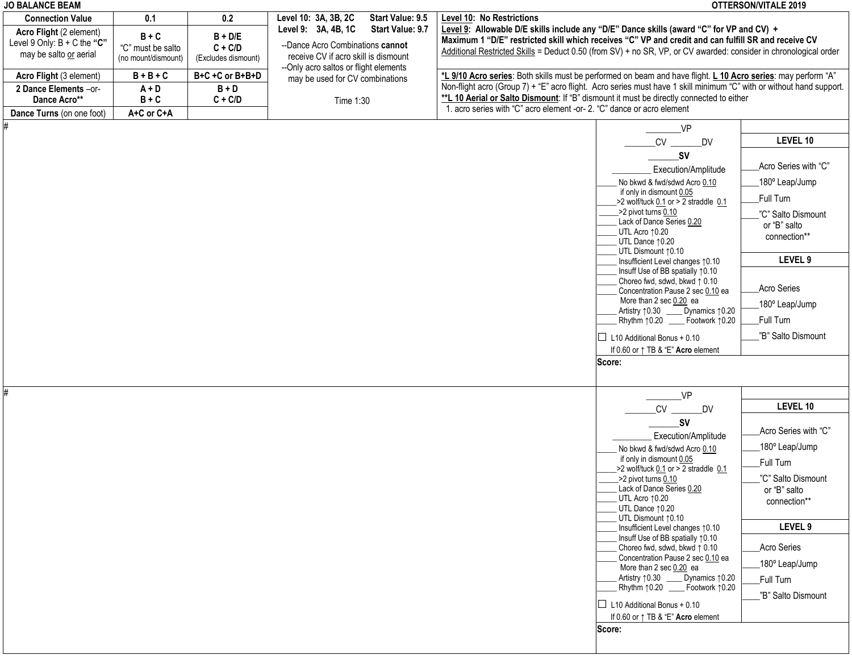| <b>JO BALANCE BEAM</b>            |                     |                     |                                        |                  |                                                                                                                                                                    |                                                                             | OTTERSON/VITALE 2019 |
|-----------------------------------|---------------------|---------------------|----------------------------------------|------------------|--------------------------------------------------------------------------------------------------------------------------------------------------------------------|-----------------------------------------------------------------------------|----------------------|
| <b>Connection Value</b>           | 0.1                 | 0.2                 | Level 10: 3A, 3B, 2C                   | Start Value: 9.5 | Level 10: No Restrictions                                                                                                                                          |                                                                             |                      |
| Acro Flight (2 element)           | $B + C$             | $B + D/E$           | Level 9: 3A, 4B, 1C                    | Start Value: 9.7 | Level 9: Allowable D/E skills include any "D/E" Dance skills (award "C" for VP and CV) +                                                                           |                                                                             |                      |
| Level 9 Only: $B + C$ the " $C$ " | "C" must be salto   | $C + C/D$           | --Dance Acro Combinations cannot       |                  | Maximum 1 "D/E" restricted skill which receives "C" VP and credit and can fulfill SR and receive CV                                                                |                                                                             |                      |
| may be salto or aerial            | (no mount/dismount) | (Excludes dismount) | receive CV if acro skill is dismount   |                  | Additional Restricted Skills = Deduct 0.50 (from SV) + no SR, VP, or CV awarded: consider in chronological order                                                   |                                                                             |                      |
|                                   |                     |                     | -- Only acro saltos or flight elements |                  |                                                                                                                                                                    |                                                                             |                      |
| Acro Flight (3 element)           | $B + B + C$         | B+C +C or B+B+D     | may be used for CV combinations        |                  | *L 9/10 Acro series: Both skills must be performed on beam and have flight. L 10 Acro series: may perform "A"                                                      |                                                                             |                      |
| 2 Dance Elements -or-             | $A + D$             | $B + D$             |                                        |                  | Non-flight acro (Group 7) + "E" acro flight. Acro series must have 1 skill minimum "C" with or without hand support.                                               |                                                                             |                      |
| Dance Acro**                      | $B + C$             | $C + C/D$           | Time 1:30                              |                  | **L 10 Aerial or Salto Dismount: If "B" dismount it must be directly connected to either<br>1. acro series with "C" acro element -or- 2. "C" dance or acro element |                                                                             |                      |
| Dance Turns (on one foot)         | A+C or C+A          |                     |                                        |                  |                                                                                                                                                                    |                                                                             |                      |
|                                   |                     |                     |                                        |                  |                                                                                                                                                                    | $V$ P                                                                       |                      |
|                                   |                     |                     |                                        |                  |                                                                                                                                                                    | CV<br>DV                                                                    | LEVEL 10             |
|                                   |                     |                     |                                        |                  |                                                                                                                                                                    | _SV                                                                         |                      |
|                                   |                     |                     |                                        |                  |                                                                                                                                                                    | Execution/Amplitude                                                         | Acro Series with "C" |
|                                   |                     |                     |                                        |                  |                                                                                                                                                                    | No bkwd & fwd/sdwd Acro 0.10                                                | 180° Leap/Jump       |
|                                   |                     |                     |                                        |                  |                                                                                                                                                                    | if only in dismount 0.05                                                    |                      |
|                                   |                     |                     |                                        |                  |                                                                                                                                                                    | $>2$ wolf/tuck $0.1$ or $>2$ straddle $0.1$                                 | Full Turn            |
|                                   |                     |                     |                                        |                  |                                                                                                                                                                    | >2 pivot turns 0.10<br>Lack of Dance Series 0.20                            | "C" Salto Dismount   |
|                                   |                     |                     |                                        |                  |                                                                                                                                                                    | UTL Acro 10.20                                                              | or "B" salto         |
|                                   |                     |                     |                                        |                  |                                                                                                                                                                    | UTL Dance 10.20                                                             | connection**         |
|                                   |                     |                     |                                        |                  |                                                                                                                                                                    | UTL Dismount 10.10                                                          |                      |
|                                   |                     |                     |                                        |                  |                                                                                                                                                                    | Insufficient Level changes 10.10<br>Insuff Use of BB spatially 10.10        | LEVEL 9              |
|                                   |                     |                     |                                        |                  |                                                                                                                                                                    | Choreo fwd, sdwd, bkwd $\uparrow$ 0.10                                      |                      |
|                                   |                     |                     |                                        |                  |                                                                                                                                                                    | Concentration Pause 2 sec 0.10 ea                                           | Acro Series          |
|                                   |                     |                     |                                        |                  |                                                                                                                                                                    | More than 2 sec 0.20 ea                                                     | 180° Leap/Jump       |
|                                   |                     |                     |                                        |                  |                                                                                                                                                                    | Artistry 10.30 _____ Dynamics 10.20<br>Rhythm 10.20 _____ Footwork 10.20    | Full Turn            |
|                                   |                     |                     |                                        |                  |                                                                                                                                                                    |                                                                             |                      |
|                                   |                     |                     |                                        |                  |                                                                                                                                                                    | $\Box$ L10 Additional Bonus + 0.10                                          | "B" Salto Dismount   |
|                                   |                     |                     |                                        |                  |                                                                                                                                                                    | If 0.60 or $\uparrow$ TB & "E" Acro element                                 |                      |
|                                   |                     |                     |                                        |                  |                                                                                                                                                                    | Score:                                                                      |                      |
|                                   |                     |                     |                                        |                  |                                                                                                                                                                    |                                                                             |                      |
| #                                 |                     |                     |                                        |                  |                                                                                                                                                                    | VP                                                                          |                      |
|                                   |                     |                     |                                        |                  |                                                                                                                                                                    | CV ______ DV                                                                | LEVEL 10             |
|                                   |                     |                     |                                        |                  |                                                                                                                                                                    |                                                                             |                      |
|                                   |                     |                     |                                        |                  |                                                                                                                                                                    | SV                                                                          | Acro Series with "C" |
|                                   |                     |                     |                                        |                  |                                                                                                                                                                    | Execution/Amplitude                                                         | 180° Leap/Jump       |
|                                   |                     |                     |                                        |                  |                                                                                                                                                                    | No bkwd & fwd/sdwd Acro 0.10<br>if only in dismount 0.05                    |                      |
|                                   |                     |                     |                                        |                  |                                                                                                                                                                    | $>2$ wolf/tuck 0.1 or $>2$ straddle 0.1                                     | Full Turn            |
|                                   |                     |                     |                                        |                  |                                                                                                                                                                    | ->2 pivot turns 0.10                                                        | "C" Salto Dismount   |
|                                   |                     |                     |                                        |                  |                                                                                                                                                                    | Lack of Dance Series 0.20                                                   | or "B" salto         |
|                                   |                     |                     |                                        |                  |                                                                                                                                                                    | UTL Acro 10.20<br>UTL Dance 10.20                                           | connection**         |
|                                   |                     |                     |                                        |                  |                                                                                                                                                                    | UTL Dismount 10.10                                                          |                      |
|                                   |                     |                     |                                        |                  |                                                                                                                                                                    | Insufficient Level changes 10.10                                            | LEVEL 9              |
|                                   |                     |                     |                                        |                  |                                                                                                                                                                    | Insuff Use of BB spatially 10.10                                            |                      |
|                                   |                     |                     |                                        |                  |                                                                                                                                                                    | Choreo fwd, sdwd, bkwd $\uparrow$ 0.10<br>Concentration Pause 2 sec 0.10 ea | Acro Series          |
|                                   |                     |                     |                                        |                  |                                                                                                                                                                    | More than 2 sec 0.20 ea                                                     | 180° Leap/Jump       |
|                                   |                     |                     |                                        |                  |                                                                                                                                                                    | Artistry 10.30<br>Dynamics 10.20                                            | Full Turn            |
|                                   |                     |                     |                                        |                  |                                                                                                                                                                    | Rhythm 10.20 Footwork 10.20                                                 | "B" Salto Dismount   |
|                                   |                     |                     |                                        |                  |                                                                                                                                                                    | $\Box$ L10 Additional Bonus + 0.10                                          |                      |
|                                   |                     |                     |                                        |                  |                                                                                                                                                                    | If 0.60 or $\uparrow$ TB & "E" Acro element                                 |                      |
|                                   |                     |                     |                                        |                  |                                                                                                                                                                    | Score:                                                                      |                      |
|                                   |                     |                     |                                        |                  |                                                                                                                                                                    |                                                                             |                      |